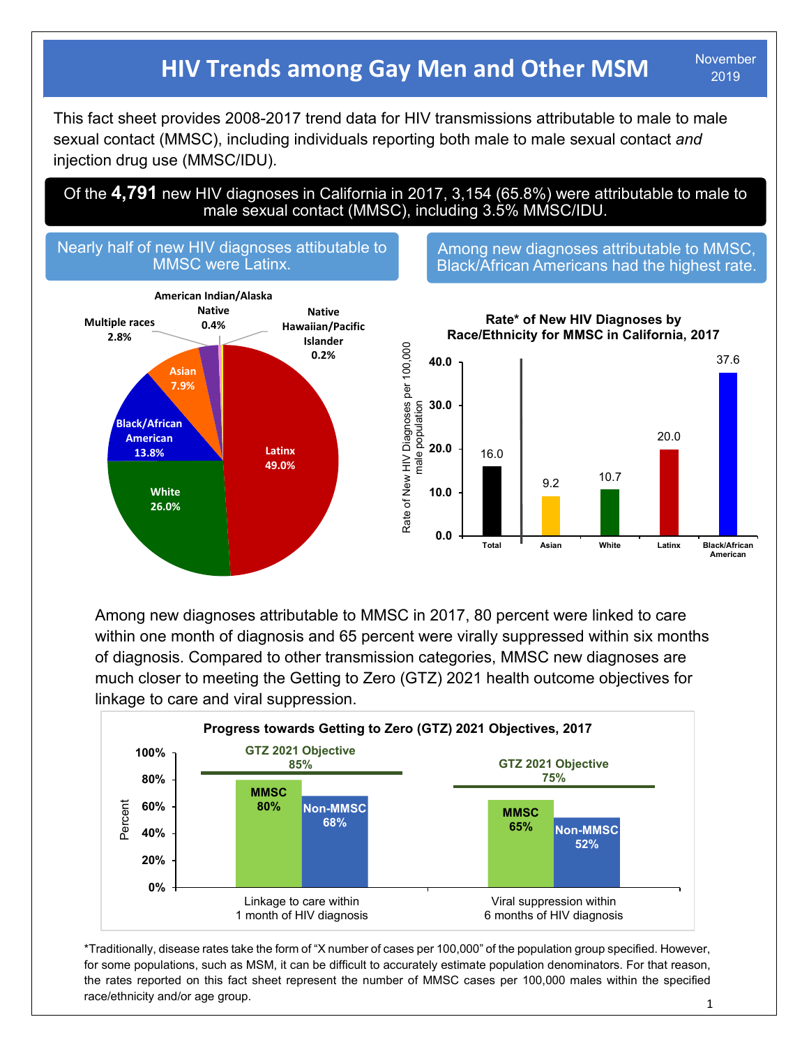## **HIV Trends among Gay Men and Other MSM** November

2019

 This fact sheet provides 2008-2017 trend data for HIV transmissions attributable to male to male sexual contact (MMSC), including individuals reporting both male to male sexual contact *and* injection drug use (MMSC/IDU).

Of the **4,791** new HIV diagnoses in California in 2017, 3,154 (65.8%) were attributable to male to male sexual contact (MMSC), including 3.5% MMSC/IDU.



Among new diagnoses attributable to MMSC, Black/African Americans had the highest rate.



Among new diagnoses attributable to MMSC in 2017, 80 percent were linked to care within one month of diagnosis and 65 percent were virally suppressed within six months of diagnosis. Compared to other transmission categories, MMSC new diagnoses are much closer to meeting the Getting to Zero (GTZ) 2021 health outcome objectives for linkage to care and viral suppression.



\*Traditionally, disease rates take the form of "X number of cases per 100,000" of the population group specified. However, for some populations, such as MSM, it can be difficult to accurately estimate population denominators. For that reason, the rates reported on this fact sheet represent the number of MMSC cases per 100,000 males within the specified race/ethnicity and/or age group.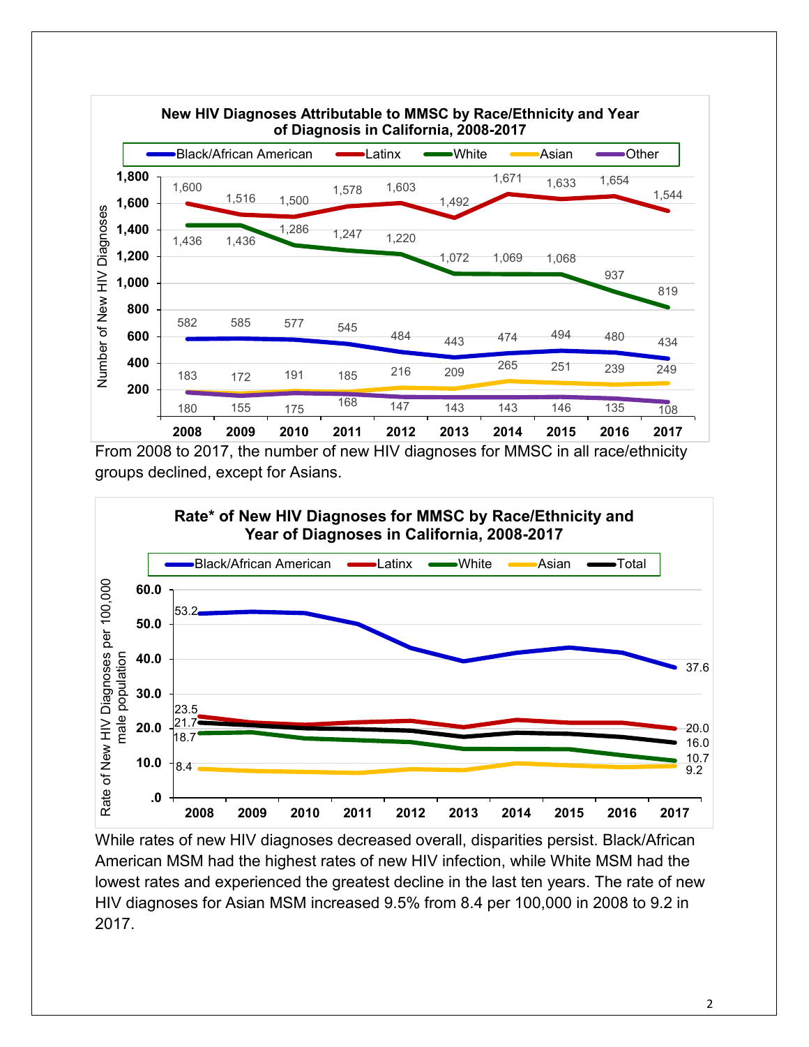

From 2008 to 2017, the number of new HIV diagnoses for MMSC in all race/ethnicity groups declined, except for Asians.



While rates of new HIV diagnoses decreased overall, disparities persist. Black/African American MSM had the highest rates of new HIV infection, while White MSM had the lowest rates and experienced the greatest decline in the last ten years. The rate of new HIV diagnoses for Asian MSM increased 9.5% from 8.4 per 100,000 in 2008 to 9.2 in 2017.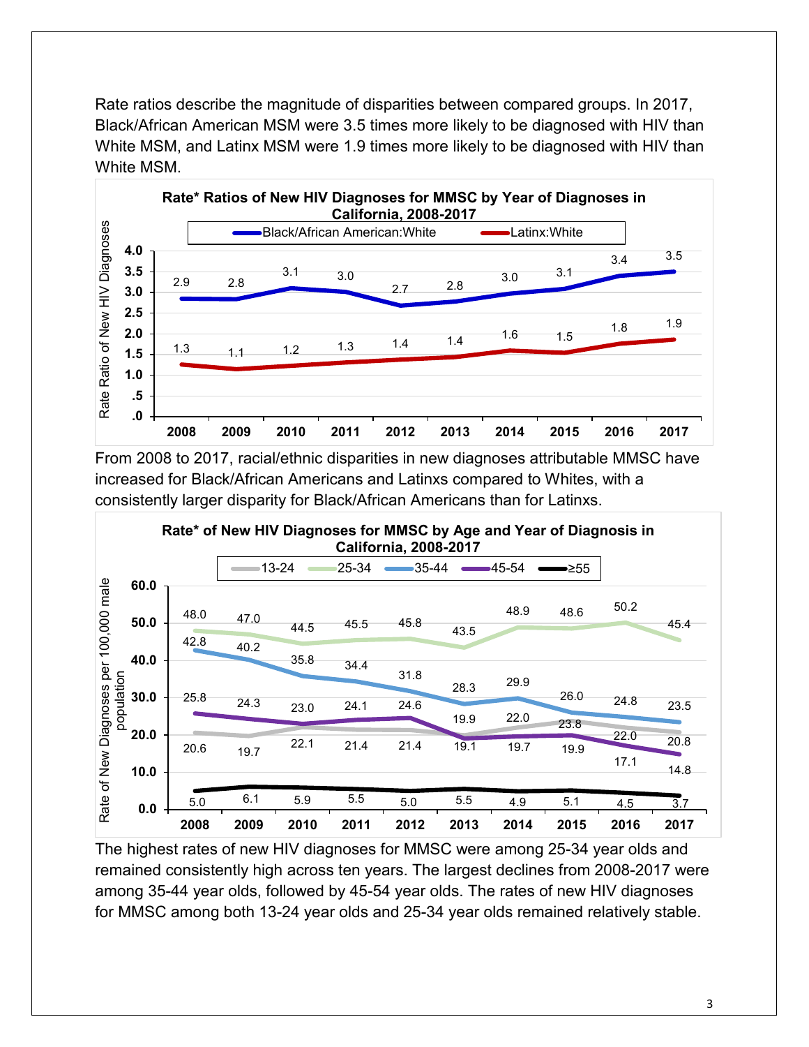Rate ratios describe the magnitude of disparities between compared groups. In 2017, Black/African American MSM were 3.5 times more likely to be diagnosed with HIV than White MSM, and Latinx MSM were 1.9 times more likely to be diagnosed with HIV than White MSM.



From 2008 to 2017, racial/ethnic disparities in new diagnoses attributable MMSC have increased for Black/African Americans and Latinxs compared to Whites, with a consistently larger disparity for Black/African Americans than for Latinxs.



The highest rates of new HIV diagnoses for MMSC were among 25-34 year olds and remained consistently high across ten years. The largest declines from 2008-2017 were among 35-44 year olds, followed by 45-54 year olds. The rates of new HIV diagnoses for MMSC among both 13-24 year olds and 25-34 year olds remained relatively stable.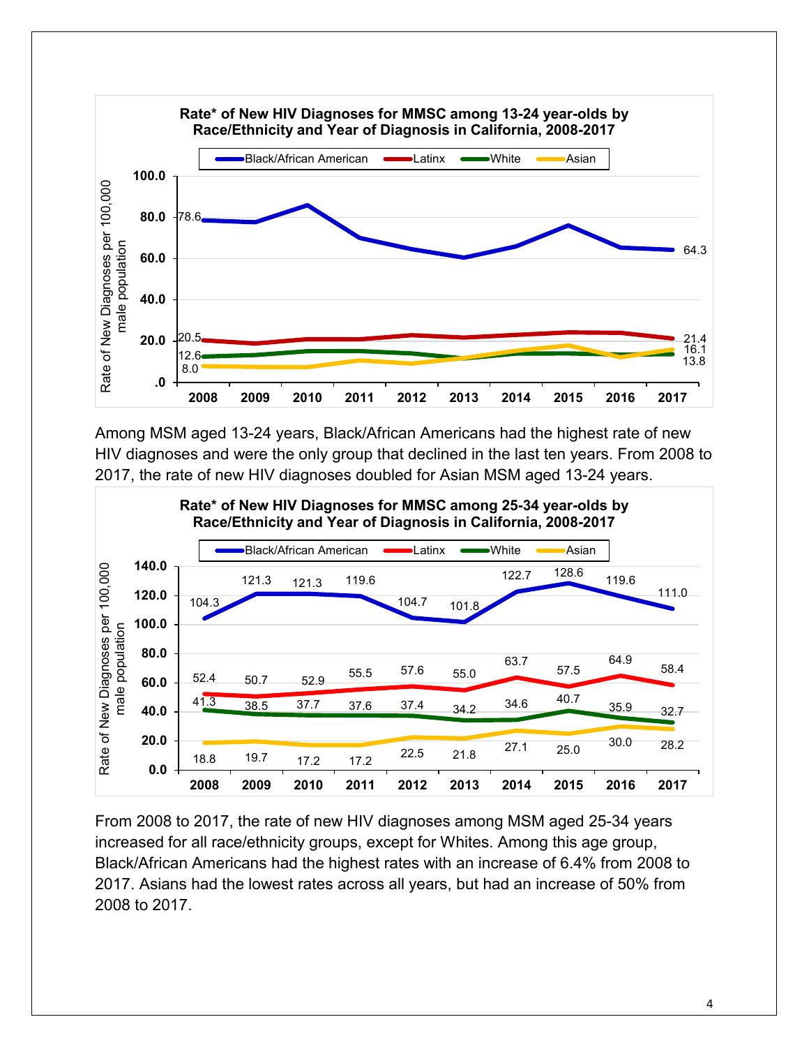

Among MSM aged 13-24 years, Black/African Americans had the highest rate of new HIV diagnoses and were the only group that declined in the last ten years. From 2008 to 2017, the rate of new HIV diagnoses doubled for Asian MSM aged 13-24 years.



From 2008 to 2017, the rate of new HIV diagnoses among MSM aged 25-34 years increased for all race/ethnicity groups, except for Whites. Among this age group, Black/African Americans had the highest rates with an increase of 6.4% from 2008 to 2017. Asians had the lowest rates across all years, but had an increase of 50% from 2008 to 2017.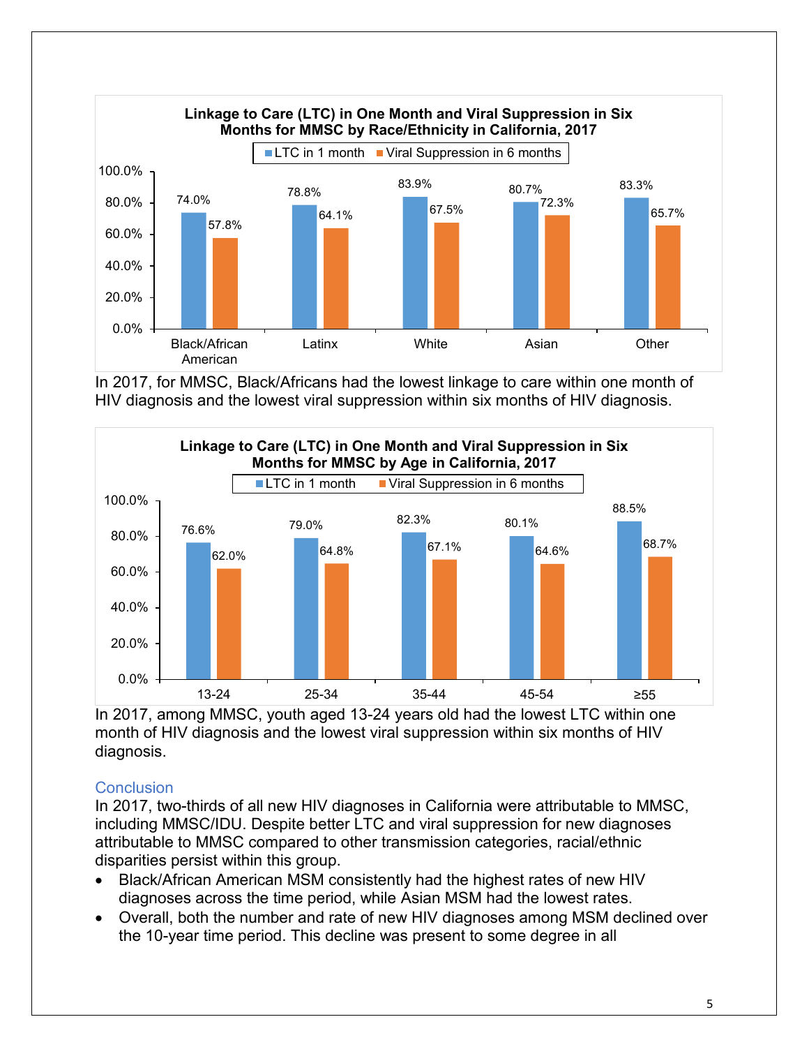

In 2017, for MMSC, Black/Africans had the lowest linkage to care within one month of HIV diagnosis and the lowest viral suppression within six months of HIV diagnosis.



In 2017, among MMSC, youth aged 13-24 years old had the lowest LTC within one month of HIV diagnosis and the lowest viral suppression within six months of HIV diagnosis.

## **Conclusion**

In 2017, two-thirds of all new HIV diagnoses in California were attributable to MMSC, including MMSC/IDU. Despite better LTC and viral suppression for new diagnoses attributable to MMSC compared to other transmission categories, racial/ethnic disparities persist within this group.

- Black/African American MSM consistently had the highest rates of new HIV diagnoses across the time period, while Asian MSM had the lowest rates.
- Overall, both the number and rate of new HIV diagnoses among MSM declined over the 10-year time period. This decline was present to some degree in all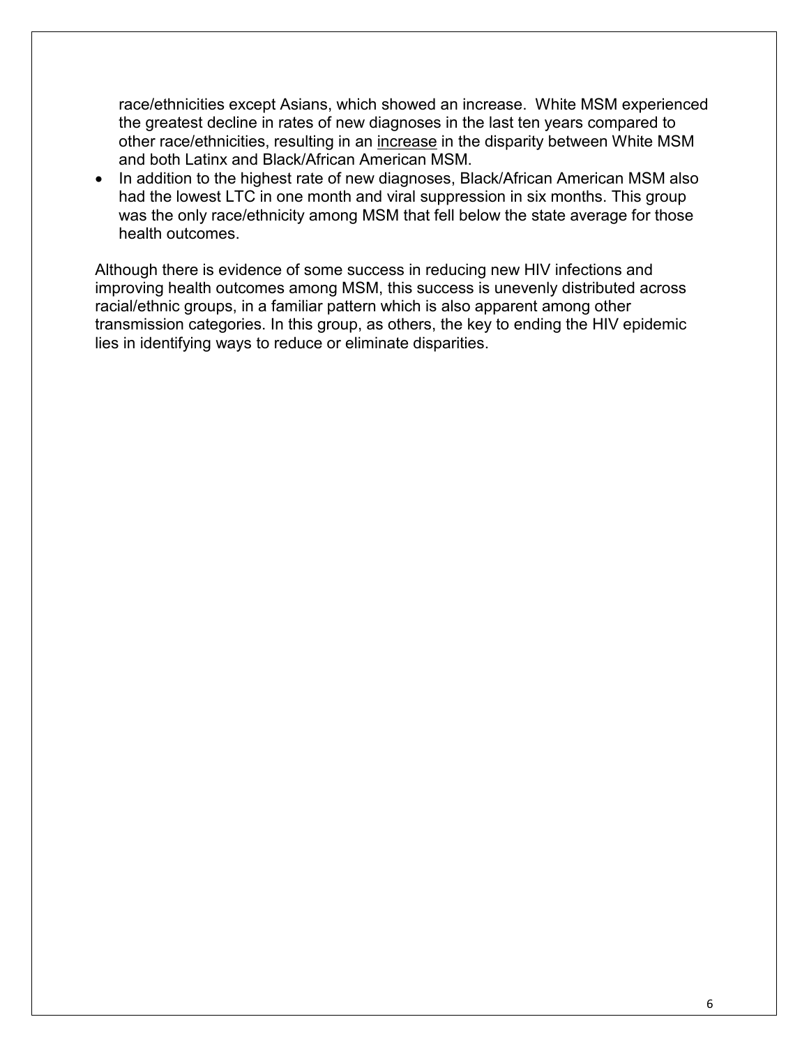race/ethnicities except Asians, which showed an increase. White MSM experienced the greatest decline in rates of new diagnoses in the last ten years compared to other race/ethnicities, resulting in an increase in the disparity between White MSM and both Latinx and Black/African American MSM.

• In addition to the highest rate of new diagnoses, Black/African American MSM also had the lowest LTC in one month and viral suppression in six months. This group was the only race/ethnicity among MSM that fell below the state average for those health outcomes.

Although there is evidence of some success in reducing new HIV infections and improving health outcomes among MSM, this success is unevenly distributed across racial/ethnic groups, in a familiar pattern which is also apparent among other transmission categories. In this group, as others, the key to ending the HIV epidemic lies in identifying ways to reduce or eliminate disparities.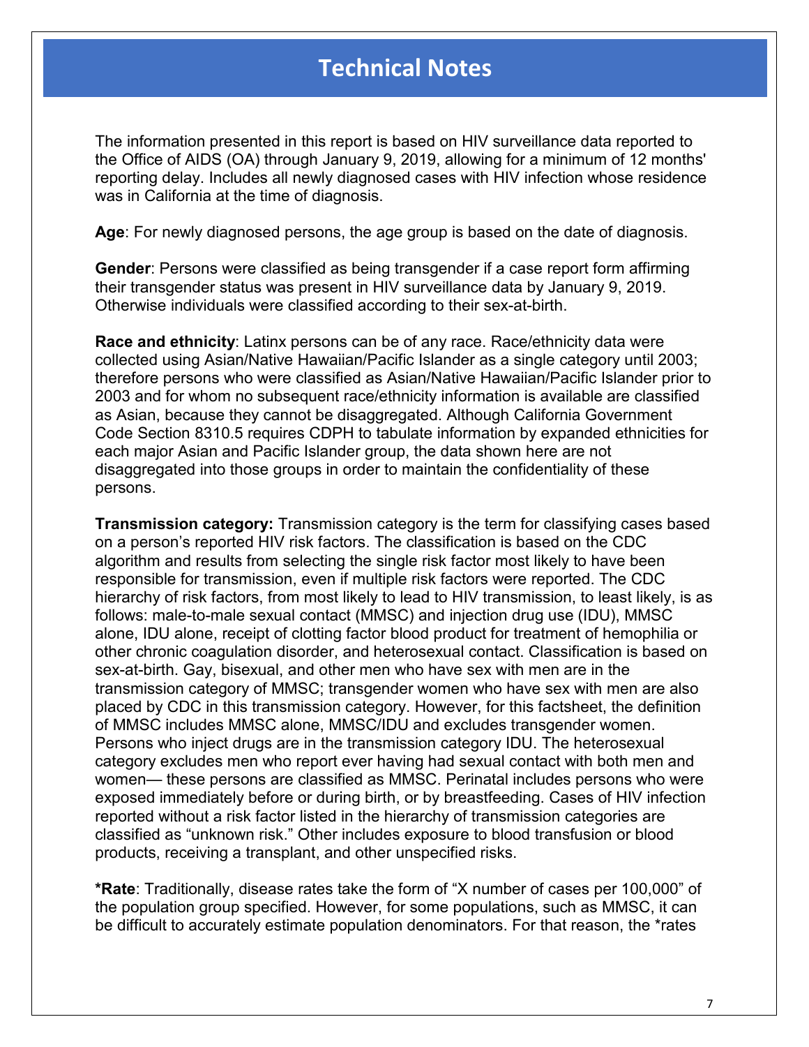## **Technical Notes**

The information presented in this report is based on HIV surveillance data reported to the Office of AIDS (OA) through January 9, 2019, allowing for a minimum of 12 months' reporting delay. Includes all newly diagnosed cases with HIV infection whose residence was in California at the time of diagnosis.

**Age**: For newly diagnosed persons, the age group is based on the date of diagnosis.

**Gender**: Persons were classified as being transgender if a case report form affirming their transgender status was present in HIV surveillance data by January 9, 2019. Otherwise individuals were classified according to their sex-at-birth.

**Race and ethnicity**: Latinx persons can be of any race. Race/ethnicity data were collected using Asian/Native Hawaiian/Pacific Islander as a single category until 2003; therefore persons who were classified as Asian/Native Hawaiian/Pacific Islander prior to 2003 and for whom no subsequent race/ethnicity information is available are classified as Asian, because they cannot be disaggregated. Although California Government Code Section 8310.5 requires CDPH to tabulate information by expanded ethnicities for each major Asian and Pacific Islander group, the data shown here are not disaggregated into those groups in order to maintain the confidentiality of these persons.

**Transmission category:** Transmission category is the term for classifying cases based on a person's reported HIV risk factors. The classification is based on the CDC algorithm and results from selecting the single risk factor most likely to have been responsible for transmission, even if multiple risk factors were reported. The CDC hierarchy of risk factors, from most likely to lead to HIV transmission, to least likely, is as follows: male-to-male sexual contact (MMSC) and injection drug use (IDU), MMSC alone, IDU alone, receipt of clotting factor blood product for treatment of hemophilia or other chronic coagulation disorder, and heterosexual contact. Classification is based on sex-at-birth. Gay, bisexual, and other men who have sex with men are in the transmission category of MMSC; transgender women who have sex with men are also placed by CDC in this transmission category. However, for this factsheet, the definition of MMSC includes MMSC alone, MMSC/IDU and excludes transgender women. Persons who inject drugs are in the transmission category IDU. The heterosexual category excludes men who report ever having had sexual contact with both men and women— these persons are classified as MMSC. Perinatal includes persons who were exposed immediately before or during birth, or by breastfeeding. Cases of HIV infection reported without a risk factor listed in the hierarchy of transmission categories are classified as "unknown risk." Other includes exposure to blood transfusion or blood products, receiving a transplant, and other unspecified risks.

**\*Rate**: Traditionally, disease rates take the form of "X number of cases per 100,000" of the population group specified. However, for some populations, such as MMSC, it can be difficult to accurately estimate population denominators. For that reason, the \*rates